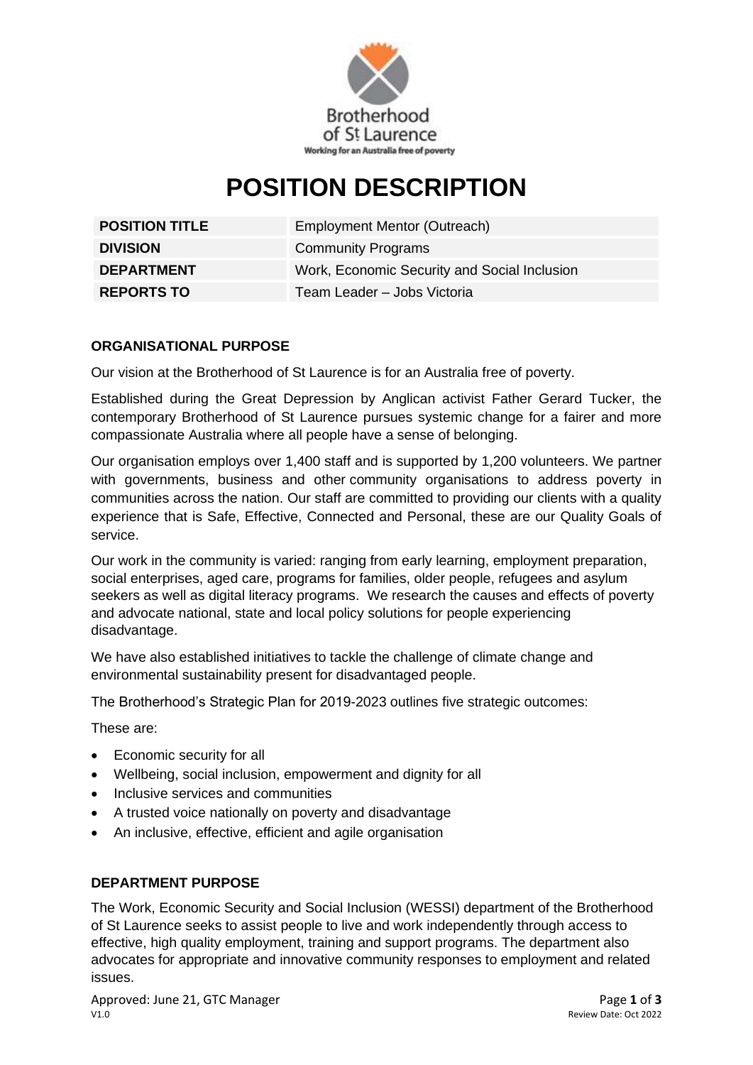

# **POSITION DESCRIPTION**

| <b>POSITION TITLE</b> | <b>Employment Mentor (Outreach)</b>          |
|-----------------------|----------------------------------------------|
| <b>DIVISION</b>       | <b>Community Programs</b>                    |
| <b>DEPARTMENT</b>     | Work, Economic Security and Social Inclusion |
| <b>REPORTS TO</b>     | Team Leader - Jobs Victoria                  |

## **ORGANISATIONAL PURPOSE**

Our vision at the Brotherhood of St Laurence is for an Australia free of poverty.

Established during the Great Depression by Anglican activist Father Gerard Tucker, the contemporary Brotherhood of St Laurence pursues systemic change for a fairer and more compassionate Australia where all people have a sense of belonging.

Our organisation employs over 1,400 staff and is supported by 1,200 volunteers. We partner with governments, business and other community organisations to address poverty in communities across the nation. Our staff are committed to providing our clients with a quality experience that is Safe, Effective, Connected and Personal, these are our Quality Goals of service.

Our work in the community is varied: ranging from early learning, employment preparation, social enterprises, aged care, programs for families, older people, refugees and asylum seekers as well as digital literacy programs. We research the causes and effects of poverty and advocate national, state and local policy solutions for people experiencing disadvantage.

We have also established initiatives to tackle the challenge of climate change and environmental sustainability present for disadvantaged people.

The Brotherhood's Strategic Plan for 2019-2023 outlines five strategic outcomes:

These are:

- Economic security for all
- Wellbeing, social inclusion, empowerment and dignity for all
- Inclusive services and communities
- A trusted voice nationally on poverty and disadvantage
- An inclusive, effective, efficient and agile organisation

#### **DEPARTMENT PURPOSE**

The Work, Economic Security and Social Inclusion (WESSI) department of the Brotherhood of St Laurence seeks to assist people to live and work independently through access to effective, high quality employment, training and support programs. The department also advocates for appropriate and innovative community responses to employment and related issues.

Approved: June 21, GTC Manager **Page 1** of **3** V1.0 Review Date: Oct 2022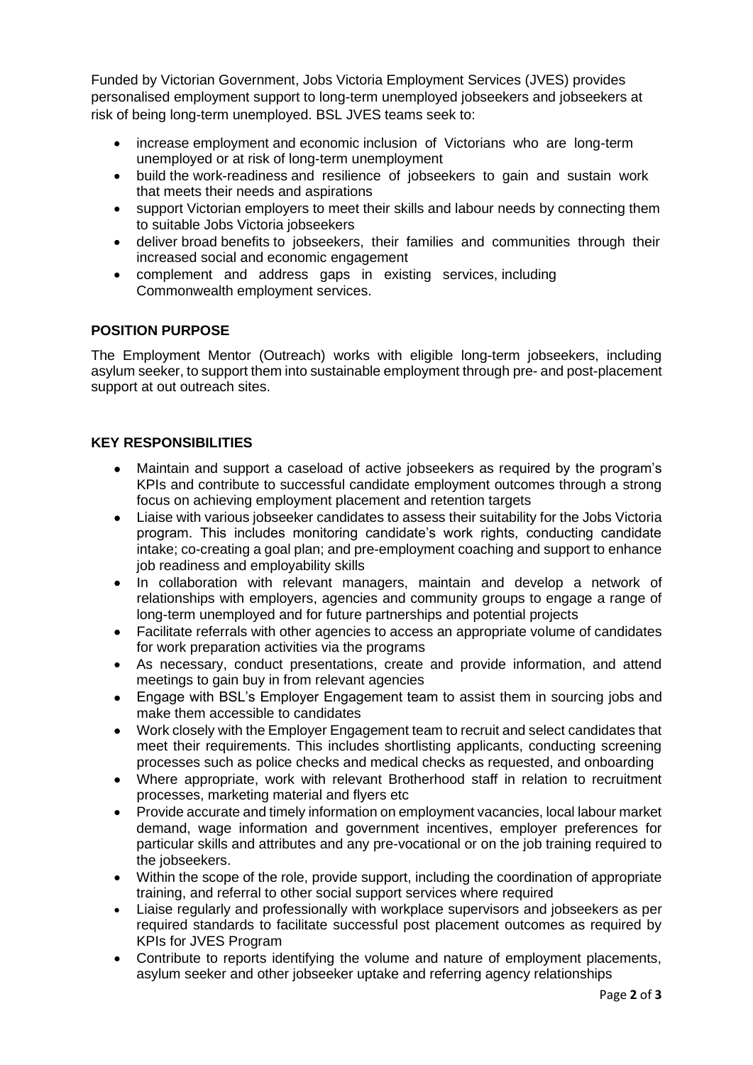Funded by Victorian Government, Jobs Victoria Employment Services (JVES) provides personalised employment support to long-term unemployed jobseekers and jobseekers at risk of being long-term unemployed. BSL JVES teams seek to:

- increase employment and economic inclusion of Victorians who are long-term unemployed or at risk of long-term unemployment
- build the work-readiness and resilience of jobseekers to gain and sustain work that meets their needs and aspirations
- support Victorian employers to meet their skills and labour needs by connecting them to suitable Jobs Victoria jobseekers
- deliver broad benefits to jobseekers, their families and communities through their increased social and economic engagement
- complement and address gaps in existing services, including Commonwealth employment services.

#### **POSITION PURPOSE**

The Employment Mentor (Outreach) works with eligible long-term jobseekers, including asylum seeker, to support them into sustainable employment through pre- and post-placement support at out outreach sites.

### **KEY RESPONSIBILITIES**

- Maintain and support a caseload of active jobseekers as required by the program's KPIs and contribute to successful candidate employment outcomes through a strong focus on achieving employment placement and retention targets
- Liaise with various jobseeker candidates to assess their suitability for the Jobs Victoria program. This includes monitoring candidate's work rights, conducting candidate intake; co-creating a goal plan; and pre-employment coaching and support to enhance job readiness and employability skills
- In collaboration with relevant managers, maintain and develop a network of relationships with employers, agencies and community groups to engage a range of long-term unemployed and for future partnerships and potential projects
- Facilitate referrals with other agencies to access an appropriate volume of candidates for work preparation activities via the programs
- As necessary, conduct presentations, create and provide information, and attend meetings to gain buy in from relevant agencies
- Engage with BSL's Employer Engagement team to assist them in sourcing jobs and make them accessible to candidates
- Work closely with the Employer Engagement team to recruit and select candidates that meet their requirements. This includes shortlisting applicants, conducting screening processes such as police checks and medical checks as requested, and onboarding
- Where appropriate, work with relevant Brotherhood staff in relation to recruitment processes, marketing material and flyers etc
- Provide accurate and timely information on employment vacancies, local labour market demand, wage information and government incentives, employer preferences for particular skills and attributes and any pre-vocational or on the job training required to the jobseekers.
- Within the scope of the role, provide support, including the coordination of appropriate training, and referral to other social support services where required
- Liaise regularly and professionally with workplace supervisors and jobseekers as per required standards to facilitate successful post placement outcomes as required by KPIs for JVES Program
- Contribute to reports identifying the volume and nature of employment placements, asylum seeker and other jobseeker uptake and referring agency relationships